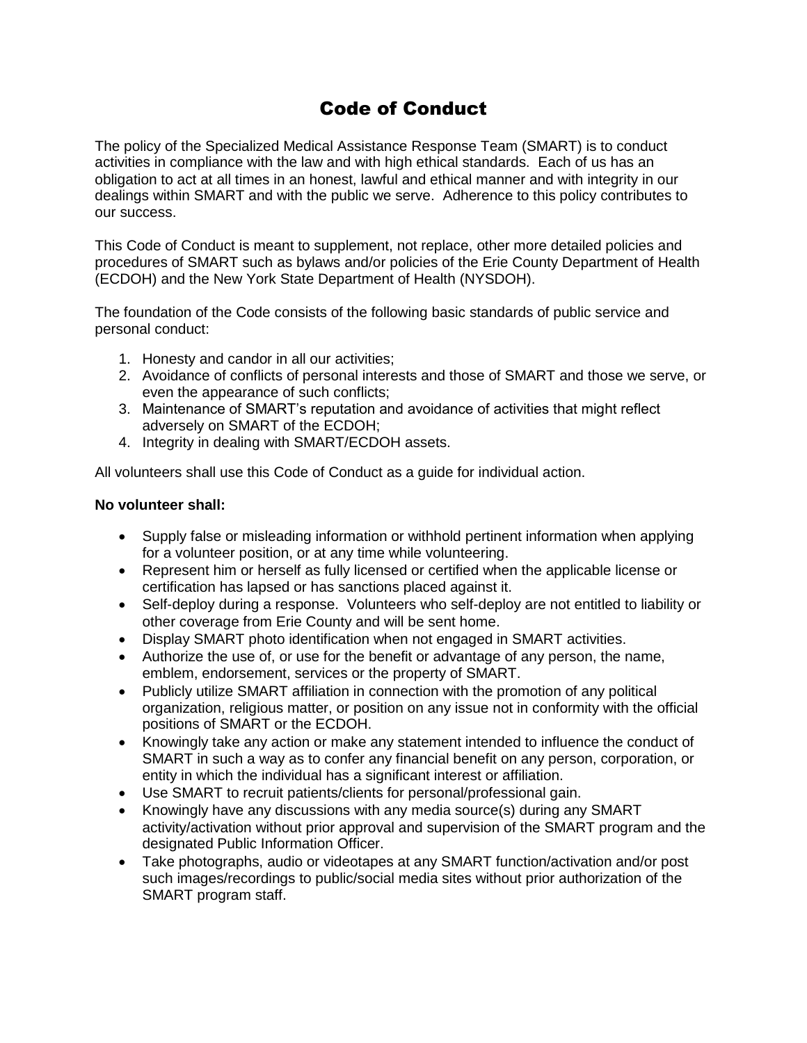## Code of Conduct

The policy of the Specialized Medical Assistance Response Team (SMART) is to conduct activities in compliance with the law and with high ethical standards. Each of us has an obligation to act at all times in an honest, lawful and ethical manner and with integrity in our dealings within SMART and with the public we serve. Adherence to this policy contributes to our success.

This Code of Conduct is meant to supplement, not replace, other more detailed policies and procedures of SMART such as bylaws and/or policies of the Erie County Department of Health (ECDOH) and the New York State Department of Health (NYSDOH).

The foundation of the Code consists of the following basic standards of public service and personal conduct:

- 1. Honesty and candor in all our activities;
- 2. Avoidance of conflicts of personal interests and those of SMART and those we serve, or even the appearance of such conflicts;
- 3. Maintenance of SMART's reputation and avoidance of activities that might reflect adversely on SMART of the ECDOH;
- 4. Integrity in dealing with SMART/ECDOH assets.

All volunteers shall use this Code of Conduct as a guide for individual action.

## **No volunteer shall:**

- Supply false or misleading information or withhold pertinent information when applying for a volunteer position, or at any time while volunteering.
- Represent him or herself as fully licensed or certified when the applicable license or certification has lapsed or has sanctions placed against it.
- Self-deploy during a response. Volunteers who self-deploy are not entitled to liability or other coverage from Erie County and will be sent home.
- Display SMART photo identification when not engaged in SMART activities.
- Authorize the use of, or use for the benefit or advantage of any person, the name, emblem, endorsement, services or the property of SMART.
- Publicly utilize SMART affiliation in connection with the promotion of any political organization, religious matter, or position on any issue not in conformity with the official positions of SMART or the ECDOH.
- Knowingly take any action or make any statement intended to influence the conduct of SMART in such a way as to confer any financial benefit on any person, corporation, or entity in which the individual has a significant interest or affiliation.
- Use SMART to recruit patients/clients for personal/professional gain.
- Knowingly have any discussions with any media source(s) during any SMART activity/activation without prior approval and supervision of the SMART program and the designated Public Information Officer.
- Take photographs, audio or videotapes at any SMART function/activation and/or post such images/recordings to public/social media sites without prior authorization of the SMART program staff.